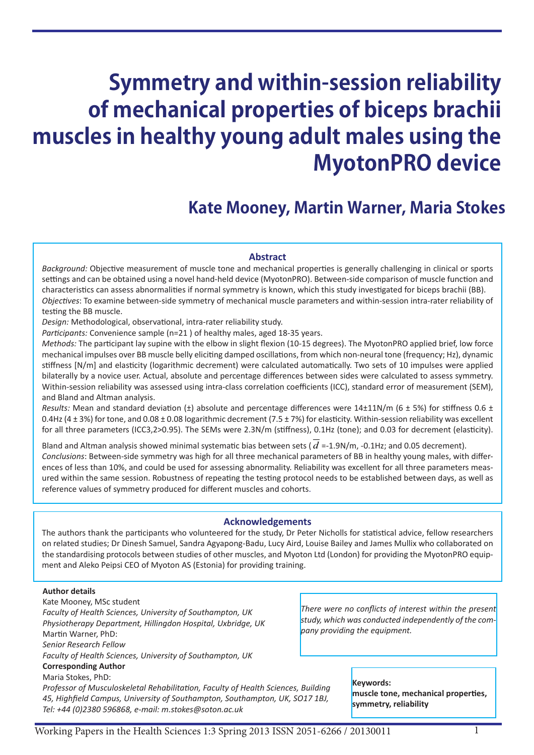# **Symmetry and within-session reliability of mechanical properties of biceps brachii muscles in healthy young adult males using the MyotonPRO device**

# **Kate Mooney, Martin Warner, Maria Stokes**

# **Abstract**

*Background:* Objective measurement of muscle tone and mechanical properties is generally challenging in clinical or sports settings and can be obtained using a novel hand-held device (MyotonPRO). Between-side comparison of muscle function and characteristics can assess abnormalities if normal symmetry is known, which this study investigated for biceps brachii (BB). *Objectives*: To examine between-side symmetry of mechanical muscle parameters and within-session intra-rater reliability of testing the BB muscle.

*Design:* Methodological, observational, intra-rater reliability study.

*Participants:* Convenience sample (n=21 ) of healthy males, aged 18-35 years.

*Methods:* The participant lay supine with the elbow in slight flexion (10-15 degrees). The MyotonPRO applied brief, low force mechanical impulses over BB muscle belly eliciting damped oscillations, from which non-neural tone (frequency; Hz), dynamic stiffness [N/m] and elasticity (logarithmic decrement) were calculated automatically. Two sets of 10 impulses were applied bilaterally by a novice user. Actual, absolute and percentage differences between sides were calculated to assess symmetry. Within-session reliability was assessed using intra-class correlation coefficients (ICC), standard error of measurement (SEM), and Bland and Altman analysis.

*Results:* Mean and standard deviation ( $\pm$ ) absolute and percentage differences were 14 $\pm$ 11N/m (6  $\pm$  5%) for stiffness 0.6  $\pm$ 0.4Hz (4  $\pm$  3%) for tone, and 0.08  $\pm$  0.08 logarithmic decrement (7.5  $\pm$  7%) for elasticity. Within-session reliability was excellent for all three parameters (ICC3,2>0.95). The SEMs were 2.3N/m (stiffness), 0.1Hz (tone); and 0.03 for decrement (elasticity).

Bland and Altman analysis showed minimal systematic bias between sets ( $d = 1.9$ N/m,  $-0.1$ Hz; and 0.05 decrement). *Conclusions*: Between-side symmetry was high for all three mechanical parameters of BB in healthy young males, with differences of less than 10%, and could be used for assessing abnormality. Reliability was excellent for all three parameters measured within the same session. Robustness of repeating the testing protocol needs to be established between days, as well as reference values of symmetry produced for different muscles and cohorts.

#### **Acknowledgements**

The authors thank the participants who volunteered for the study, Dr Peter Nicholls for statistical advice, fellow researchers on related studies; Dr Dinesh Samuel, Sandra Agyapong-Badu, Lucy Aird, Louise Bailey and James Mullix who collaborated on the standardising protocols between studies of other muscles, and Myoton Ltd (London) for providing the MyotonPRO equipment and Aleko Peipsi CEO of Myoton AS (Estonia) for providing training.

#### **Author details**

Kate Mooney, MSc student *Faculty of Health Sciences, University of Southampton, UK Physiotherapy Department, Hillingdon Hospital, Uxbridge, UK* Martin Warner, PhD: *Senior Research Fellow Faculty of Health Sciences, University of Southampton, UK* **Corresponding Author** Maria Stokes, PhD:

*Professor of Musculoskeletal Rehabilitation, Faculty of Health Sciences, Building 45, Highfield Campus, University of Southampton, Southampton, UK, SO17 1BJ, Tel: +44 (0)2380 596868, e-mail: m.stokes@soton.ac.uk*

*There were no conflicts of interest within the present study, which was conducted independently of the company providing the equipment.* 

#### **Keywords:**

**muscle tone, mechanical properties, symmetry, reliability**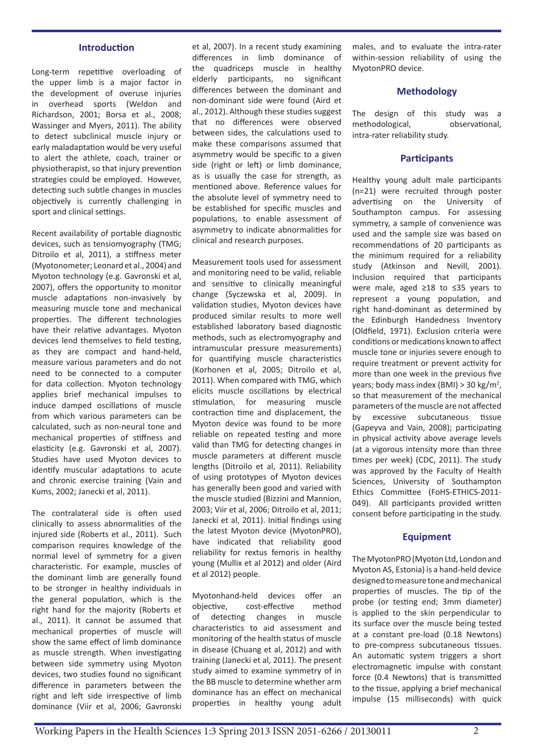# **Introduction**

Long-term repetitive overloading of the upper limb is a major factor in the development of overuse injuries in overhead sports (Weldon and Richardson, 2001; Borsa et al., 2008; Wassinger and Myers, 2011). The ability to detect subclinical muscle injury or early maladaptation would be very useful to alert the athlete, coach, trainer or physiotherapist, so that injury prevention strategies could be employed. However, detecting such subtle changes in muscles objectively is currently challenging in sport and clinical settings.

Recent availability of portable diagnostic devices, such as tensiomyography (TMG; Ditroilo et al, 2011), a stiffness meter (Myotonometer; Leonard et al., 2004) and Myoton technology (e.g. Gavronski et al, 2007), offers the opportunity to monitor muscle adaptations non-invasively by measuring muscle tone and mechanical properties. The different technologies have their relative advantages. Myoton devices lend themselves to field testing, as they are compact and hand-held, measure various parameters and do not need to be connected to a computer for data collection. Myoton technology applies brief mechanical impulses to induce damped oscillations of muscle from which various parameters can be calculated, such as non-neural tone and mechanical properties of stiffness and elasticity (e.g. Gavronski et al, 2007). Studies have used Myoton devices to identify muscular adaptations to acute and chronic exercise training (Vain and Kums, 2002; Janecki et al, 2011).

The contralateral side is often used clinically to assess abnormalities of the injured side (Roberts et al., 2011). Such comparison requires knowledge of the normal level of symmetry for a given characteristic. For example, muscles of the dominant limb are generally found to be stronger in healthy individuals in the general population, which is the right hand for the majority (Roberts et al., 2011). It cannot be assumed that mechanical properties of muscle will show the same effect of limb dominance as muscle strength. When investigating between side symmetry using Myoton devices, two studies found no significant difference in parameters between the right and left side irrespective of limb dominance (Viir et al, 2006; Gavronski

et al, 2007). In a recent study examining differences in limb dominance of the quadriceps muscle in healthy elderly participants, no significant differences between the dominant and non-dominant side were found (Aird et al., 2012). Although these studies suggest that no differences were observed between sides, the calculations used to make these comparisons assumed that asymmetry would be specific to a given side (right or left) or limb dominance, as is usually the case for strength, as mentioned above. Reference values for the absolute level of symmetry need to be established for specific muscles and populations, to enable assessment of asymmetry to indicate abnormalities for clinical and research purposes.

Measurement tools used for assessment and monitoring need to be valid, reliable and sensitive to clinically meaningful change (Syczewska et al, 2009). In validation studies, Myoton devices have produced similar results to more well established laboratory based diagnostic methods, such as electromyography and intramuscular pressure measurements) for quantifying muscle characteristics (Korhonen et al, 2005; Ditroilo et al, 2011). When compared with TMG, which elicits muscle oscillations by electrical stimulation, for measuring muscle contraction time and displacement, the Myoton device was found to be more reliable on repeated testing and more valid than TMG for detecting changes in muscle parameters at different muscle lengths (Ditroilo et al, 2011). Reliability of using prototypes of Myoton devices has generally been good and varied with the muscle studied (Bizzini and Mannion, 2003; Viir et al, 2006; Ditroilo et al, 2011; Janecki et al, 2011). Initial findings using the latest Myoton device (MyotonPRO), have indicated that reliability good reliability for rextus femoris in healthy young (Mullix et al 2012) and older (Aird et al 2012) people.

Myotonhand-held devices offer an objective, cost-effective method of detecting changes in muscle characteristics to aid assessment and monitoring of the health status of muscle in disease (Chuang et al, 2012) and with training (Janecki et al, 2011). The present study aimed to examine symmetry of in the BB muscle to determine whether arm dominance has an effect on mechanical properties in healthy young adult males, and to evaluate the intra-rater within-session reliability of using the MyotonPRO device.

#### **Methodology**

The design of this study was a methodological, observational, intra-rater reliability study.

#### **Participants**

Healthy young adult male participants (n=21) were recruited through poster advertising on the University of Southampton campus. For assessing symmetry, a sample of convenience was used and the sample size was based on recommendations of 20 participants as the minimum required for a reliability study (Atkinson and Nevill, 2001). Inclusion required that participants were male, aged ≥18 to ≤35 years to represent a young population, and right hand-dominant as determined by the Edinburgh Handedness Inventory (Oldfield, 1971). Exclusion criteria were conditions or medications known to affect muscle tone or injuries severe enough to require treatment or prevent activity for more than one week in the previous five years; body mass index (BMI) > 30 kg/m<sup>2</sup>, so that measurement of the mechanical parameters of the muscle are not affected by excessive subcutaneous tissue (Gapeyva and Vain, 2008); participating in physical activity above average levels (at a vigorous intensity more than three times per week) (CDC, 2011). The study was approved by the Faculty of Health Sciences, University of Southampton Ethics Committee (FoHS-ETHICS-2011- 049). All participants provided written consent before participating in the study.

#### **Equipment**

The MyotonPRO (Myoton Ltd, London and Myoton AS, Estonia) is a hand-held device designed to measure tone and mechanical properties of muscles. The tip of the probe (or testing end; 3mm diameter) is applied to the skin perpendicular to its surface over the muscle being tested at a constant pre-load (0.18 Newtons) to pre-compress subcutaneous tissues. An automatic system triggers a short electromagnetic impulse with constant force (0.4 Newtons) that is transmitted to the tissue, applying a brief mechanical impulse (15 milliseconds) with quick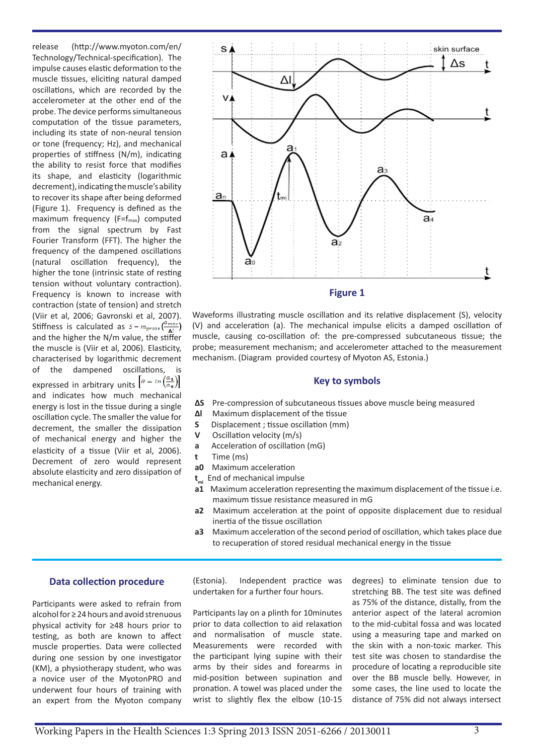release (http://www.myoton.com/en/ Technology/Technical-specification). The impulse causes elastic deformation to the muscle tissues, eliciting natural damped oscillations, which are recorded by the accelerometer at the other end of the probe. The device performs simultaneous computation of the tissue parameters, including its state of non-neural tension or tone (frequency; Hz), and mechanical properties of stiffness (N/m), indicating the ability to resist force that modifies its shape, and elasticity (logarithmic decrement), indicating the muscle's ability to recover its shape after being deformed (Figure 1). Frequency is defined as the maximum frequency  $(F=f_{max})$  computed from the signal spectrum by Fast Fourier Transform (FFT). The higher the frequency of the dampened oscillations (natural oscillation frequency), the higher the tone (intrinsic state of resting tension without voluntary contraction). Frequency is known to increase with contraction (state of tension) and stretch (Viir et al, 2006; Gavronski et al, 2007). Stiffness is calculated as  $S = m_{probe} \left( \frac{a_{max}}{\Delta l} \right)$ and the higher the N/m value, the stiffer the muscle is (Viir et al, 2006). Elasticity, characterised by logarithmic decrement of the dampened oscillations, is expressed in arbitrary units  $\left[\theta = \ln\left(\frac{a_1}{a_2}\right)\right]$ and indicates how much mechanical energy is lost in the tissue during a single oscillation cycle. The smaller the value for decrement, the smaller the dissipation of mechanical energy and higher the elasticity of a tissue (Viir et al, 2006). Decrement of zero would represent absolute elasticity and zero dissipation of mechanical energy.



Waveforms illustrating muscle oscillation and its relative displacement (S), velocity (V) and acceleration (a). The mechanical impulse elicits a damped oscillation of muscle, causing co-oscillation of: the pre-compressed subcutaneous tissue; the probe; measurement mechanism; and accelerometer attached to the measurement mechanism. (Diagram provided courtesy of Myoton AS, Estonia.)

#### **Key to symbols**

- **∆S** Pre-compression of subcutaneous tissues above muscle being measured
- **∆l** Maximum displacement of the tissue
- **S** Displacement ; tissue oscillation (mm)
- **V** Oscillation velocity (m/s)
- **a** Acceleration of oscillation (mG)
- **t** Time (ms)
- **a0** Maximum acceleration
- **t**<sub>mi</sub> End of mechanical impulse
- **a1** Maximum acceleration representing the maximum displacement of the tissue i.e. maximum tissue resistance measured in mG
- **a2** Maximum acceleration at the point of opposite displacement due to residual inertia of the tissue oscillation
- **a3** Maximum acceleration of the second period of oscillation, which takes place due to recuperation of stored residual mechanical energy in the tissue

#### **Data collection procedure**

Participants were asked to refrain from alcohol for ≥ 24 hours and avoid strenuous physical activity for ≥48 hours prior to testing, as both are known to affect muscle properties. Data were collected during one session by one investigator (KM), a physiotherapy student, who was a novice user of the MyotonPRO and underwent four hours of training with an expert from the Myoton company

(Estonia). Independent practice was undertaken for a further four hours.

Participants lay on a plinth for 10minutes prior to data collection to aid relaxation and normalisation of muscle state. Measurements were recorded with the participant lying supine with their arms by their sides and forearms in mid-position between supination and pronation. A towel was placed under the wrist to slightly flex the elbow (10-15 degrees) to eliminate tension due to stretching BB. The test site was defined as 75% of the distance, distally, from the anterior aspect of the lateral acromion to the mid-cubital fossa and was located using a measuring tape and marked on the skin with a non-toxic marker. This test site was chosen to standardise the procedure of locating a reproducible site over the BB muscle belly. However, in some cases, the line used to locate the distance of 75% did not always intersect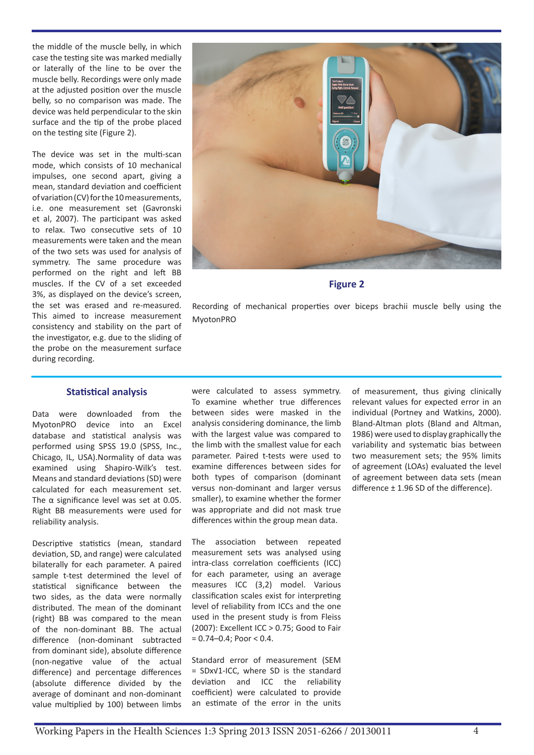the middle of the muscle belly, in which case the testing site was marked medially or laterally of the line to be over the muscle belly. Recordings were only made at the adjusted position over the muscle belly, so no comparison was made. The device was held perpendicular to the skin surface and the tip of the probe placed on the testing site (Figure 2).

The device was set in the multi-scan mode, which consists of 10 mechanical impulses, one second apart, giving a mean, standard deviation and coefficient of variation (CV) for the 10 measurements, i.e. one measurement set (Gavronski et al, 2007). The participant was asked to relax. Two consecutive sets of 10 measurements were taken and the mean of the two sets was used for analysis of symmetry. The same procedure was performed on the right and left BB muscles. If the CV of a set exceeded 3%, as displayed on the device's screen, the set was erased and re-measured. This aimed to increase measurement consistency and stability on the part of the investigator, e.g. due to the sliding of the probe on the measurement surface during recording.



#### **Figure 2**

Recording of mechanical properties over biceps brachii muscle belly using the MyotonPRO

#### **Statistical analysis**

Data were downloaded from the MyotonPRO device into an Excel database and statistical analysis was performed using SPSS 19.0 (SPSS, Inc., Chicago, IL, USA).Normality of data was examined using Shapiro-Wilk's test. Means and standard deviations (SD) were calculated for each measurement set. The α significance level was set at 0.05. Right BB measurements were used for reliability analysis.

Descriptive statistics (mean, standard deviation, SD, and range) were calculated bilaterally for each parameter. A paired sample t-test determined the level of statistical significance between the two sides, as the data were normally distributed. The mean of the dominant (right) BB was compared to the mean of the non-dominant BB. The actual difference (non-dominant subtracted from dominant side), absolute difference (non-negative value of the actual difference) and percentage differences (absolute difference divided by the average of dominant and non-dominant value multiplied by 100) between limbs

were calculated to assess symmetry. To examine whether true differences between sides were masked in the analysis considering dominance, the limb with the largest value was compared to the limb with the smallest value for each parameter. Paired t-tests were used to examine differences between sides for both types of comparison (dominant versus non-dominant and larger versus smaller), to examine whether the former was appropriate and did not mask true differences within the group mean data.

The association between repeated measurement sets was analysed using intra-class correlation coefficients (ICC) for each parameter, using an average measures ICC (3,2) model. Various classification scales exist for interpreting level of reliability from ICCs and the one used in the present study is from Fleiss (2007): Excellent ICC > 0.75; Good to Fair  $= 0.74 - 0.4$ ; Poor  $< 0.4$ .

Standard error of measurement (SEM = SDx√1-ICC, where SD is the standard deviation and ICC the reliability coefficient) were calculated to provide an estimate of the error in the units of measurement, thus giving clinically relevant values for expected error in an individual (Portney and Watkins, 2000). Bland-Altman plots (Bland and Altman, 1986) were used to display graphically the variability and systematic bias between two measurement sets; the 95% limits of agreement (LOAs) evaluated the level of agreement between data sets (mean difference ± 1.96 SD of the difference).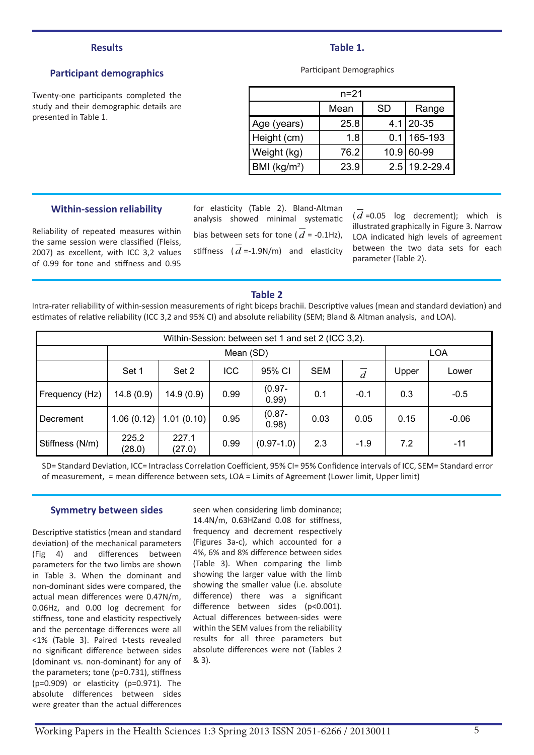#### **Results**

# **Participant demographics**

Twenty-one participants completed the study and their demographic details are presented in Table 1.

#### **Table 1.**

Participant Demographics

| n=21                         |      |      |               |  |  |  |  |
|------------------------------|------|------|---------------|--|--|--|--|
|                              | Mean | SD   | Range         |  |  |  |  |
| Age (years)                  | 25.8 |      | $4.1$   20-35 |  |  |  |  |
| Height (cm)                  | 1.8  | 0.1  | 165-193       |  |  |  |  |
| Weight (kg)                  | 76.2 | 10.9 | 60-99         |  |  |  |  |
| $ $ BMI (kg/m <sup>2</sup> ) | 23.9 | 2.5  | 19.2-29.4     |  |  |  |  |

#### **Within-session reliability**

Reliability of repeated measures within the same session were classified (Fleiss, 2007) as excellent, with ICC 3,2 values of 0.99 for tone and stiffness and 0.95

for elasticity (Table 2). Bland-Altman analysis showed minimal systematic bias between sets for tone ( $\overline{d}$  = -0.1Hz), stiffness  $(\overline{d} = 1.9N/m)$  and elasticity

 $(d = 0.05$  log decrement); which is illustrated graphically in Figure 3. Narrow LOA indicated high levels of agreement between the two data sets for each parameter (Table 2).

#### **Table 2**

Intra-rater reliability of within-session measurements of right biceps brachii. Descriptive values (mean and standard deviation) and estimates of relative reliability (ICC 3,2 and 95% CI) and absolute reliability (SEM; Bland & Altman analysis, and LOA).

| Within-Session: between set 1 and set 2 (ICC 3,2). |                 |                 |      |                    |            |                |            |         |
|----------------------------------------------------|-----------------|-----------------|------|--------------------|------------|----------------|------------|---------|
|                                                    | Mean (SD)       |                 |      |                    |            |                | <b>LOA</b> |         |
|                                                    | Set 1           | Set 2           | ICC  | 95% CI             | <b>SEM</b> | $\overline{d}$ | Upper      | Lower   |
| Frequency (Hz)                                     | 14.8(0.9)       | 14.9(0.9)       | 0.99 | $(0.97 -$<br>0.99) | 0.1        | $-0.1$         | 0.3        | $-0.5$  |
| Decrement                                          | 1.06(0.12)      | 1.01(0.10)      | 0.95 | $(0.87 -$<br>0.98) | 0.03       | 0.05           | 0.15       | $-0.06$ |
| Stiffness (N/m)                                    | 225.2<br>(28.0) | 227.1<br>(27.0) | 0.99 | $(0.97 - 1.0)$     | 2.3        | $-1.9$         | 7.2        | $-11$   |

SD= Standard Deviation, ICC= Intraclass Correlation Coefficient, 95% CI= 95% Confidence intervals of ICC, SEM= Standard error of measurement, = mean difference between sets, LOA = Limits of Agreement (Lower limit, Upper limit)

#### **Symmetry between sides**

Descriptive statistics (mean and standard deviation) of the mechanical parameters (Fig 4) and differences between parameters for the two limbs are shown in Table 3. When the dominant and non-dominant sides were compared, the actual mean differences were 0.47N/m, 0.06Hz, and 0.00 log decrement for stiffness, tone and elasticity respectively and the percentage differences were all <1% (Table 3). Paired t-tests revealed no significant difference between sides (dominant vs. non-dominant) for any of the parameters; tone (p=0.731), stiffness (p=0.909) or elasticity (p=0.971). The absolute differences between sides were greater than the actual differences

seen when considering limb dominance; 14.4N/m, 0.63HZand 0.08 for stiffness, frequency and decrement respectively (Figures 3a-c), which accounted for a 4%, 6% and 8% difference between sides (Table 3). When comparing the limb showing the larger value with the limb showing the smaller value (i.e. absolute difference) there was a significant difference between sides (p<0.001). Actual differences between-sides were within the SEM values from the reliability results for all three parameters but absolute differences were not (Tables 2 & 3).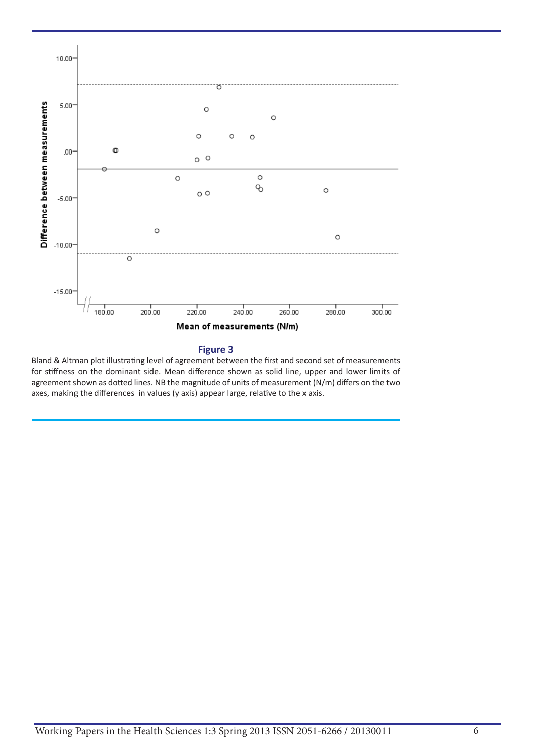

#### **Figure 3**

Bland & Altman plot illustrating level of agreement between the first and second set of measurements for stiffness on the dominant side. Mean difference shown as solid line, upper and lower limits of agreement shown as dotted lines. NB the magnitude of units of measurement (N/m) differs on the two axes, making the differences in values (y axis) appear large, relative to the x axis.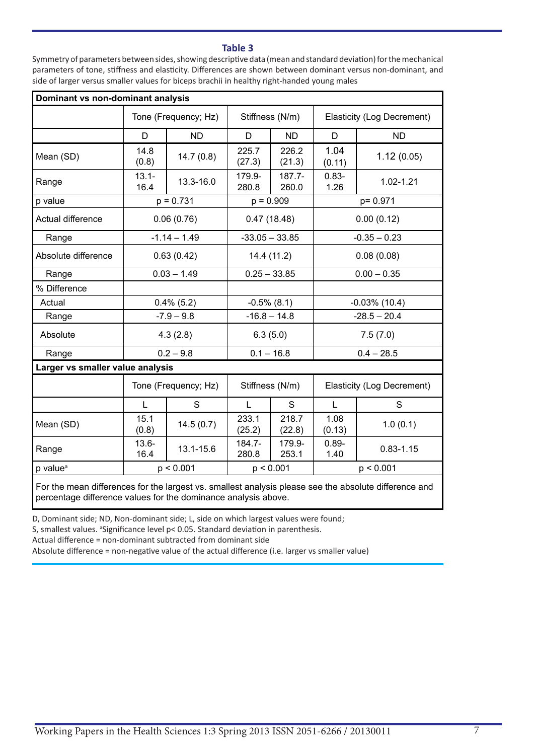### **Table 3**

Symmetry of parameters between sides, showing descriptive data (mean and standard deviation) for the mechanical parameters of tone, stiffness and elasticity. Differences are shown between dominant versus non-dominant, and side of larger versus smaller values for biceps brachii in healthy right-handed young males

| Dominant vs non-dominant analysis                                                                                                                                       |                      |                |                 |                  |                            |                |  |
|-------------------------------------------------------------------------------------------------------------------------------------------------------------------------|----------------------|----------------|-----------------|------------------|----------------------------|----------------|--|
|                                                                                                                                                                         | Tone (Frequency; Hz) |                | Stiffness (N/m) |                  | Elasticity (Log Decrement) |                |  |
|                                                                                                                                                                         | D                    | <b>ND</b>      | D               | <b>ND</b>        | D                          | <b>ND</b>      |  |
| Mean (SD)                                                                                                                                                               | 14.8<br>(0.8)        | 14.7(0.8)      | 225.7<br>(27.3) | 226.2<br>(21.3)  | 1.04<br>(0.11)             | 1.12(0.05)     |  |
| Range                                                                                                                                                                   | $13.1 -$<br>16.4     | 13.3-16.0      | 179.9-<br>280.8 | 187.7-<br>260.0  | $0.83 -$<br>1.26           | $1.02 - 1.21$  |  |
| p value                                                                                                                                                                 | $p = 0.731$          |                | $p = 0.909$     |                  | p= 0.971                   |                |  |
| Actual difference                                                                                                                                                       | 0.06(0.76)           |                | 0.47(18.48)     |                  | 0.00(0.12)                 |                |  |
| Range                                                                                                                                                                   |                      | $-1.14 - 1.49$ |                 | $-33.05 - 33.85$ |                            | $-0.35 - 0.23$ |  |
| Absolute difference                                                                                                                                                     | 0.63(0.42)           |                | 14.4 (11.2)     |                  | 0.08(0.08)                 |                |  |
| Range                                                                                                                                                                   |                      | $0.03 - 1.49$  |                 | $0.25 - 33.85$   |                            | $0.00 - 0.35$  |  |
| % Difference                                                                                                                                                            |                      |                |                 |                  |                            |                |  |
| Actual                                                                                                                                                                  | $0.4\%$ (5.2)        |                | $-0.5\%$ (8.1)  |                  | $-0.03\%$ (10.4)           |                |  |
| Range                                                                                                                                                                   | $-7.9 - 9.8$         |                | $-16.8 - 14.8$  |                  | $-28.5 - 20.4$             |                |  |
| Absolute                                                                                                                                                                | 4.3(2.8)             |                | 6.3(5.0)        |                  | 7.5(7.0)                   |                |  |
| Range                                                                                                                                                                   | $0.2 - 9.8$          |                | $0.1 - 16.8$    |                  | $0.4 - 28.5$               |                |  |
| Larger vs smaller value analysis                                                                                                                                        |                      |                |                 |                  |                            |                |  |
|                                                                                                                                                                         | Tone (Frequency; Hz) |                | Stiffness (N/m) |                  | Elasticity (Log Decrement) |                |  |
|                                                                                                                                                                         | L                    | S              | L               | S                | L                          | S              |  |
| Mean (SD)                                                                                                                                                               | 15.1<br>(0.8)        | 14.5(0.7)      | 233.1<br>(25.2) | 218.7<br>(22.8)  | 1.08<br>(0.13)             | 1.0(0.1)       |  |
| Range                                                                                                                                                                   | $13.6 -$<br>16.4     | 13.1-15.6      | 184.7-<br>280.8 | 179.9-<br>253.1  | $0.89 -$<br>1.40           | $0.83 - 1.15$  |  |
| p value <sup>a</sup>                                                                                                                                                    | p < 0.001            |                | p < 0.001       |                  | p < 0.001                  |                |  |
| For the mean differences for the largest vs. smallest analysis please see the absolute difference and<br>percentage difference values for the dominance analysis above. |                      |                |                 |                  |                            |                |  |

D, Dominant side; ND, Non-dominant side; L, side on which largest values were found;

S, smallest values. <sup>a</sup> Significance level  $p$ < 0.05. Standard deviation in parenthesis.

Actual difference = non-dominant subtracted from dominant side

Absolute difference = non-negative value of the actual difference (i.e. larger vs smaller value)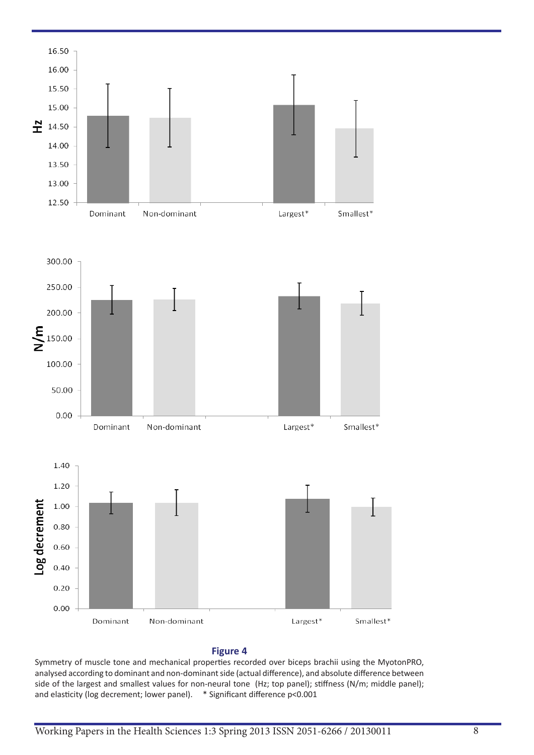

#### **Figure 4**

Symmetry of muscle tone and mechanical properties recorded over biceps brachii using the MyotonPRO, analysed according to dominant and non-dominant side (actual difference), and absolute difference between side of the largest and smallest values for non-neural tone (Hz; top panel); stiffness (N/m; middle panel); and elasticity (log decrement; lower panel). \* Significant difference p<0.001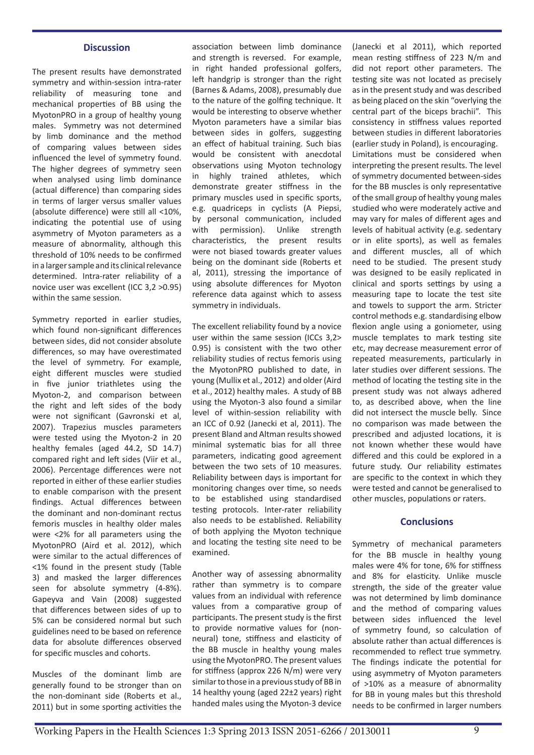#### **Discussion**

The present results have demonstrated symmetry and within-session intra-rater reliability of measuring tone and mechanical properties of BB using the MyotonPRO in a group of healthy young males. Symmetry was not determined by limb dominance and the method of comparing values between sides influenced the level of symmetry found. The higher degrees of symmetry seen when analysed using limb dominance (actual difference) than comparing sides in terms of larger versus smaller values (absolute difference) were still all <10%, indicating the potential use of using asymmetry of Myoton parameters as a measure of abnormality, although this threshold of 10% needs to be confirmed in a larger sample and its clinical relevance determined. Intra-rater reliability of a novice user was excellent (ICC 3,2 >0.95) within the same session.

Symmetry reported in earlier studies, which found non-significant differences between sides, did not consider absolute differences, so may have overestimated the level of symmetry. For example, eight different muscles were studied in five junior triathletes using the Myoton-2, and comparison between the right and left sides of the body were not significant (Gavronski et al, 2007). Trapezius muscles parameters were tested using the Myoton-2 in 20 healthy females (aged 44.2, SD 14.7) compared right and left sides (Viir et al., 2006). Percentage differences were not reported in either of these earlier studies to enable comparison with the present findings. Actual differences between the dominant and non-dominant rectus femoris muscles in healthy older males were <2% for all parameters using the MyotonPRO (Aird et al. 2012), which were similar to the actual differences of <1% found in the present study (Table 3) and masked the larger differences seen for absolute symmetry (4-8%). Gapeyva and Vain (2008) suggested that differences between sides of up to 5% can be considered normal but such guidelines need to be based on reference data for absolute differences observed for specific muscles and cohorts.

Muscles of the dominant limb are generally found to be stronger than on the non-dominant side (Roberts et al., 2011) but in some sporting activities the

association between limb dominance and strength is reversed. For example, in right handed professional golfers, left handgrip is stronger than the right (Barnes & Adams, 2008), presumably due to the nature of the golfing technique. It would be interesting to observe whether Myoton parameters have a similar bias between sides in golfers, suggesting an effect of habitual training. Such bias would be consistent with anecdotal observations using Myoton technology in highly trained athletes, which demonstrate greater stiffness in the primary muscles used in specific sports, e.g. quadriceps in cyclists (A Piepsi, by personal communication, included with permission). Unlike strength characteristics, the present results were not biased towards greater values being on the dominant side (Roberts et al, 2011), stressing the importance of using absolute differences for Myoton reference data against which to assess symmetry in individuals.

The excellent reliability found by a novice user within the same session (ICCs 3,2> 0.95) is consistent with the two other reliability studies of rectus femoris using the MyotonPRO published to date, in young (Mullix et al., 2012) and older (Aird et al., 2012) healthy males. A study of BB using the Myoton-3 also found a similar level of within-session reliability with an ICC of 0.92 (Janecki et al, 2011). The present Bland and Altman results showed minimal systematic bias for all three parameters, indicating good agreement between the two sets of 10 measures. Reliability between days is important for monitoring changes over time, so needs to be established using standardised testing protocols. Inter-rater reliability also needs to be established. Reliability of both applying the Myoton technique and locating the testing site need to be examined.

Another way of assessing abnormality rather than symmetry is to compare values from an individual with reference values from a comparative group of participants. The present study is the first to provide normative values for (nonneural) tone, stiffness and elasticity of the BB muscle in healthy young males using the MyotonPRO. The present values for stiffness (approx 226 N/m) were very similar to those in a previous study of BB in 14 healthy young (aged 22±2 years) right handed males using the Myoton-3 device

(Janecki et al 2011), which reported mean resting stiffness of 223 N/m and did not report other parameters. The testing site was not located as precisely as in the present study and was described as being placed on the skin "overlying the central part of the biceps brachii". This consistency in stiffness values reported between studies in different laboratories (earlier study in Poland), is encouraging. Limitations must be considered when interpreting the present results. The level of symmetry documented between-sides for the BB muscles is only representative of the small group of healthy young males studied who were moderately active and may vary for males of different ages and levels of habitual activity (e.g. sedentary or in elite sports), as well as females and different muscles, all of which need to be studied. The present study was designed to be easily replicated in clinical and sports settings by using a measuring tape to locate the test site and towels to support the arm. Stricter control methods e.g. standardising elbow flexion angle using a goniometer, using muscle templates to mark testing site etc, may decrease measurement error of repeated measurements, particularly in later studies over different sessions. The method of locating the testing site in the present study was not always adhered to, as described above, when the line did not intersect the muscle belly. Since no comparison was made between the prescribed and adjusted locations, it is not known whether these would have differed and this could be explored in a future study. Our reliability estimates are specific to the context in which they were tested and cannot be generalised to other muscles, populations or raters.

#### **Conclusions**

Symmetry of mechanical parameters for the BB muscle in healthy young males were 4% for tone, 6% for stiffness and 8% for elasticity. Unlike muscle strength, the side of the greater value was not determined by limb dominance and the method of comparing values between sides influenced the level of symmetry found, so calculation of absolute rather than actual differences is recommended to reflect true symmetry. The findings indicate the potential for using asymmetry of Myoton parameters of >10% as a measure of abnormality for BB in young males but this threshold needs to be confirmed in larger numbers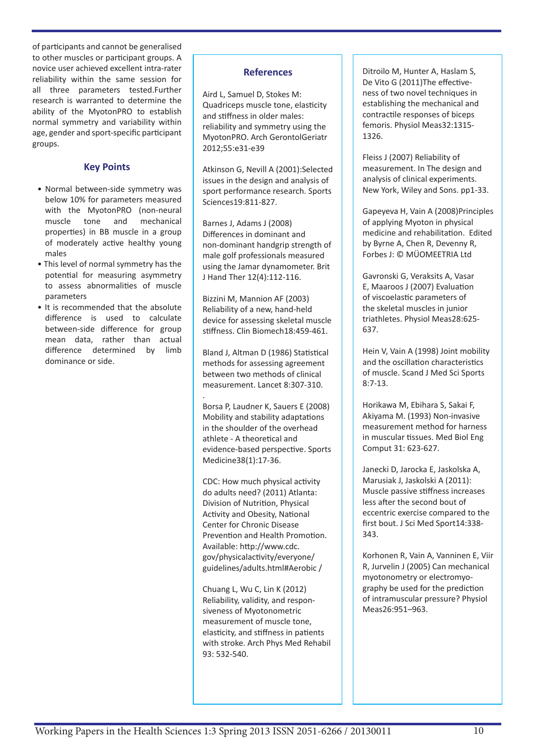of participants and cannot be generalised to other muscles or participant groups. A novice user achieved excellent intra-rater reliability within the same session for all three parameters tested.Further research is warranted to determine the ability of the MyotonPRO to establish normal symmetry and variability within age, gender and sport-specific participant groups.

# **Key Points**

- Normal between-side symmetry was below 10% for parameters measured with the MyotonPRO (non-neural muscle tone and mechanical properties) in BB muscle in a group of moderately active healthy young males
- This level of normal symmetry has the potential for measuring asymmetry to assess abnormalities of muscle parameters
- It is recommended that the absolute difference is used to calculate between-side difference for group mean data, rather than actual difference determined by limb dominance or side.

# **References**

Aird L, Samuel D, Stokes M: Quadriceps muscle tone, elasticity and stiffness in older males: reliability and symmetry using the MyotonPRO. Arch GerontolGeriatr 2012;55:e31-e39

Atkinson G, Nevill A (2001):Selected issues in the design and analysis of sport performance research. Sports Sciences19:811-827.

Barnes J, Adams J (2008) Differences in dominant and non-dominant handgrip strength of male golf professionals measured using the Jamar dynamometer. Brit J Hand Ther 12(4):112-116.

Bizzini M, Mannion AF (2003) Reliability of a new, hand-held device for assessing skeletal muscle stiffness. Clin Biomech18:459-461.

Bland J, Altman D (1986) Statistical methods for assessing agreement between two methods of clinical measurement. Lancet 8:307-310.

. Borsa P, Laudner K, Sauers E (2008) Mobility and stability adaptations in the shoulder of the overhead athlete - A theoretical and evidence-based perspective. Sports Medicine38(1):17-36.

CDC: How much physical activity do adults need? (2011) Atlanta: Division of Nutrition, Physical Activity and Obesity, National Center for Chronic Disease Prevention and Health Promotion. Available: http://www.cdc. gov/physicalactivity/everyone/ guidelines/adults.html#Aerobic /

Chuang L, Wu C, Lin K (2012) Reliability, validity, and responsiveness of Myotonometric measurement of muscle tone, elasticity, and stiffness in patients with stroke. Arch Phys Med Rehabil 93: 532-540.

Ditroilo M, Hunter A, Haslam S, De Vito G (2011)The effectiveness of two novel techniques in establishing the mechanical and contractile responses of biceps femoris. Physiol Meas32:1315- 1326.

Fleiss J (2007) Reliability of measurement. In The design and analysis of clinical experiments. New York, Wiley and Sons. pp1-33.

Gapeyeva H, Vain A (2008)Principles of applying Myoton in physical medicine and rehabilitation. Edited by Byrne A, Chen R, Devenny R, Forbes J: © MÜOMEETRIA Ltd

Gavronski G, Veraksits A, Vasar E, Maaroos J (2007) Evaluation of viscoelastic parameters of the skeletal muscles in junior triathletes. Physiol Meas28:625- 637.

Hein V, Vain A (1998) Joint mobility and the oscillation characteristics of muscle. Scand J Med Sci Sports 8:7-13.

Horikawa M, Ebihara S, Sakai F, Akiyama M. (1993) Non-invasive measurement method for harness in muscular tissues. Med Biol Eng Comput 31: 623-627.

Janecki D, Jarocka E, Jaskolska A, Marusiak J, Jaskolski A (2011): Muscle passive stiffness increases less after the second bout of eccentric exercise compared to the first bout. J Sci Med Sport14:338- 343.

Korhonen R, Vain A, Vanninen E, Viir R, Jurvelin J (2005) Can mechanical myotonometry or electromyography be used for the prediction of intramuscular pressure? Physiol Meas26:951–963.